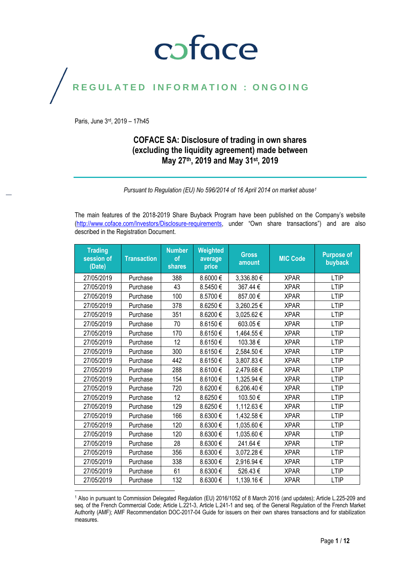### coface

### REGULATED INFORMATION : ONGOING

Paris, June 3rd , 2019 – 17h45

#### **COFACE SA: Disclosure of trading in own shares (excluding the liquidity agreement) made between May 27 th, 2019 and May 31st , 2019**

*Pursuant to Regulation (EU) No 596/2014 of 16 April 2014 on market abuse<sup>1</sup>*

The main features of the 2018-2019 Share Buyback Program have been published on the Company's website [\(http://www.coface.com/Investors/Disclosure-requirements](http://www.coface.com/Investors/Disclosure-requirements), under "Own share transactions") and are also described in the Registration Document.

| <b>Trading</b><br>session of<br>(Date) | <b>Transaction</b> | <b>Number</b><br><sub>of</sub><br>shares | Weighted<br>average<br>price | <b>Gross</b><br>amount | <b>MIC Code</b> | <b>Purpose of</b><br>buyback |
|----------------------------------------|--------------------|------------------------------------------|------------------------------|------------------------|-----------------|------------------------------|
| 27/05/2019                             | Purchase           | 388                                      | 8.6000€                      | 3,336.80 €             | <b>XPAR</b>     | <b>LTIP</b>                  |
| 27/05/2019                             | Purchase           | 43                                       | 8.5450€                      | 367.44€                | <b>XPAR</b>     | <b>LTIP</b>                  |
| 27/05/2019                             | Purchase           | 100                                      | 8.5700€                      | 857.00€                | <b>XPAR</b>     | <b>LTIP</b>                  |
| 27/05/2019                             | Purchase           | 378                                      | 8.6250€                      | 3,260.25€              | <b>XPAR</b>     | <b>LTIP</b>                  |
| 27/05/2019                             | Purchase           | 351                                      | 8.6200€                      | 3,025.62€              | <b>XPAR</b>     | <b>LTIP</b>                  |
| 27/05/2019                             | Purchase           | 70                                       | 8.6150€                      | 603.05€                | <b>XPAR</b>     | <b>LTIP</b>                  |
| 27/05/2019                             | Purchase           | 170                                      | 8.6150€                      | 1,464.55€              | <b>XPAR</b>     | <b>LTIP</b>                  |
| 27/05/2019                             | Purchase           | 12                                       | 8.6150€                      | 103.38€                | <b>XPAR</b>     | <b>LTIP</b>                  |
| 27/05/2019                             | Purchase           | 300                                      | 8.6150€                      | 2,584.50€              | <b>XPAR</b>     | <b>LTIP</b>                  |
| 27/05/2019                             | Purchase           | 442                                      | 8.6150€                      | 3,807.83€              | <b>XPAR</b>     | <b>LTIP</b>                  |
| 27/05/2019                             | Purchase           | 288                                      | 8.6100€                      | 2,479.68€              | <b>XPAR</b>     | <b>LTIP</b>                  |
| 27/05/2019                             | Purchase           | 154                                      | 8.6100€                      | 1,325.94 €             | <b>XPAR</b>     | <b>LTIP</b>                  |
| 27/05/2019                             | Purchase           | 720                                      | 8.6200€                      | 6,206.40€              | <b>XPAR</b>     | <b>LTIP</b>                  |
| 27/05/2019                             | Purchase           | 12                                       | 8.6250€                      | 103.50€                | <b>XPAR</b>     | <b>LTIP</b>                  |
| 27/05/2019                             | Purchase           | 129                                      | 8.6250€                      | 1,112.63 €             | <b>XPAR</b>     | <b>LTIP</b>                  |
| 27/05/2019                             | Purchase           | 166                                      | 8.6300€                      | 1,432.58€              | <b>XPAR</b>     | <b>LTIP</b>                  |
| 27/05/2019                             | Purchase           | 120                                      | 8.6300€                      | 1,035.60 €             | <b>XPAR</b>     | <b>LTIP</b>                  |
| 27/05/2019                             | Purchase           | 120                                      | 8.6300€                      | 1,035.60€              | <b>XPAR</b>     | <b>LTIP</b>                  |
| 27/05/2019                             | Purchase           | 28                                       | 8.6300€                      | 241.64€                | <b>XPAR</b>     | <b>LTIP</b>                  |
| 27/05/2019                             | Purchase           | 356                                      | 8.6300€                      | 3,072.28€              | <b>XPAR</b>     | <b>LTIP</b>                  |
| 27/05/2019                             | Purchase           | 338                                      | 8.6300€                      | 2,916.94 €             | <b>XPAR</b>     | <b>LTIP</b>                  |
| 27/05/2019                             | Purchase           | 61                                       | 8.6300€                      | 526.43€                | <b>XPAR</b>     | <b>LTIP</b>                  |
| 27/05/2019                             | Purchase           | 132                                      | 8.6300€                      | 1,139.16€              | <b>XPAR</b>     | <b>LTIP</b>                  |

 $\overline{\phantom{a}}$ <sup>1</sup> Also in pursuant to Commission Delegated Regulation (EU) 2016/1052 of 8 March 2016 (and updates); Article L.225-209 and seq. of the French Commercial Code; Article L.221-3, Article L.241-1 and seq. of the General Regulation of the French Market Authority (AMF); AMF Recommendation DOC-2017-04 Guide for issuers on their own shares transactions and for stabilization measures.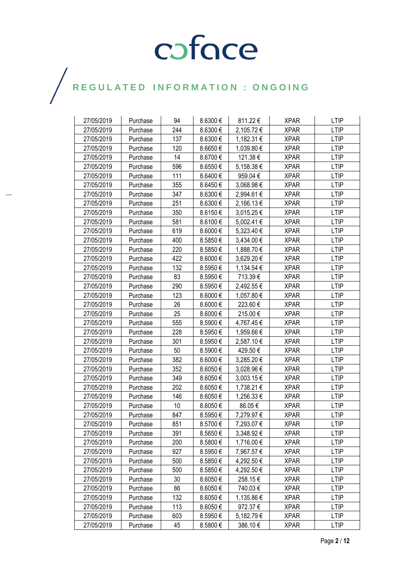| 27/05/2019 | Purchase | 94  | 8.6300€  | 811.22€    | <b>XPAR</b> | <b>LTIP</b> |
|------------|----------|-----|----------|------------|-------------|-------------|
| 27/05/2019 | Purchase | 244 | 8.6300€  | 2,105.72 € | <b>XPAR</b> | <b>LTIP</b> |
| 27/05/2019 | Purchase | 137 | 8.6300€  | 1,182.31 € | <b>XPAR</b> | <b>LTIP</b> |
| 27/05/2019 | Purchase | 120 | 8.6650€  | 1,039.80 € | <b>XPAR</b> | <b>LTIP</b> |
| 27/05/2019 | Purchase | 14  | 8.6700€  | 121.38€    | <b>XPAR</b> | <b>LTIP</b> |
| 27/05/2019 | Purchase | 596 | 8.6550€  | 5,158.38 € | <b>XPAR</b> | <b>LTIP</b> |
| 27/05/2019 | Purchase | 111 | 8.6400€  | 959.04€    | <b>XPAR</b> | <b>LTIP</b> |
| 27/05/2019 | Purchase | 355 | 8.6450€  | 3,068.98€  | <b>XPAR</b> | <b>LTIP</b> |
| 27/05/2019 | Purchase | 347 | 8.6300€  | 2,994.61 € | XPAR        | <b>LTIP</b> |
| 27/05/2019 | Purchase | 251 | 8.6300€  | 2,166.13€  | <b>XPAR</b> | <b>LTIP</b> |
| 27/05/2019 | Purchase | 350 | 8.6150€  | 3,015.25€  | <b>XPAR</b> | <b>LTIP</b> |
| 27/05/2019 | Purchase | 581 | 8.6100€  | 5,002.41 € | <b>XPAR</b> | <b>LTIP</b> |
| 27/05/2019 | Purchase | 619 | 8.6000€  | 5,323.40 € | <b>XPAR</b> | <b>LTIP</b> |
| 27/05/2019 | Purchase | 400 | 8.5850€  | 3,434.00 € | <b>XPAR</b> | <b>LTIP</b> |
| 27/05/2019 | Purchase | 220 | 8.5850 € | 1,888.70 € | <b>XPAR</b> | <b>LTIP</b> |
| 27/05/2019 | Purchase | 422 | 8.6000€  | 3,629.20 € | <b>XPAR</b> | <b>LTIP</b> |
| 27/05/2019 | Purchase | 132 | 8.5950€  | 1,134.54 € | <b>XPAR</b> | <b>LTIP</b> |
| 27/05/2019 | Purchase | 83  | 8.5950€  | 713.39€    | <b>XPAR</b> | <b>LTIP</b> |
| 27/05/2019 | Purchase | 290 | 8.5950€  | 2,492.55€  | <b>XPAR</b> | <b>LTIP</b> |
| 27/05/2019 | Purchase | 123 | 8.6000€  | 1,057.80 € | <b>XPAR</b> | <b>LTIP</b> |
| 27/05/2019 | Purchase | 26  | 8.6000€  | 223.60€    | <b>XPAR</b> | <b>LTIP</b> |
| 27/05/2019 | Purchase | 25  | 8.6000€  | 215.00€    | <b>XPAR</b> | <b>LTIP</b> |
| 27/05/2019 | Purchase | 555 | 8.5900€  | 4,767.45€  | <b>XPAR</b> | <b>LTIP</b> |
| 27/05/2019 | Purchase | 228 | 8.5950€  | 1,959.66€  | <b>XPAR</b> | <b>LTIP</b> |
| 27/05/2019 | Purchase | 301 | 8.5950€  | 2,587.10 € | <b>XPAR</b> | <b>LTIP</b> |
| 27/05/2019 | Purchase | 50  | 8.5900€  | 429.50€    | <b>XPAR</b> | <b>LTIP</b> |
| 27/05/2019 | Purchase | 382 | 8.6000€  | 3,285.20 € | <b>XPAR</b> | <b>LTIP</b> |
| 27/05/2019 | Purchase | 352 | 8.6050€  | 3,028.96 € | XPAR        | <b>LTIP</b> |
| 27/05/2019 | Purchase | 349 | 8.6050€  | 3,003.15 € | <b>XPAR</b> | <b>LTIP</b> |
| 27/05/2019 | Purchase | 202 | 8.6050€  | 1,738.21 € | <b>XPAR</b> | <b>LTIP</b> |
| 27/05/2019 | Purchase | 146 | 8.6050€  | 1,256.33 € | <b>XPAR</b> | <b>LTIP</b> |
| 27/05/2019 | Purchase | 10  | 8.6050€  | 86.05€     | <b>XPAR</b> | <b>LTIP</b> |
| 27/05/2019 | Purchase | 847 | 8.5950€  | 7,279.97 € | XPAR        | LTIP        |
| 27/05/2019 | Purchase | 851 | 8.5700 € | 7,293.07 € | <b>XPAR</b> | <b>LTIP</b> |
| 27/05/2019 | Purchase | 391 | 8.5650€  | 3,348.92 € | <b>XPAR</b> | <b>LTIP</b> |
| 27/05/2019 | Purchase | 200 | 8.5800€  | 1,716.00 € | <b>XPAR</b> | LTIP        |
| 27/05/2019 | Purchase | 927 | 8.5950€  | 7,967.57 € | <b>XPAR</b> | <b>LTIP</b> |
| 27/05/2019 | Purchase | 500 | 8.5850€  | 4,292.50 € | <b>XPAR</b> | <b>LTIP</b> |
| 27/05/2019 | Purchase | 500 | 8.5850€  | 4,292.50 € | <b>XPAR</b> | <b>LTIP</b> |
| 27/05/2019 | Purchase | 30  | 8.6050€  | 258.15€    | <b>XPAR</b> | <b>LTIP</b> |
| 27/05/2019 | Purchase | 86  | 8.6050€  | 740.03€    | <b>XPAR</b> | <b>LTIP</b> |
| 27/05/2019 | Purchase | 132 | 8.6050€  | 1,135.86 € | <b>XPAR</b> | <b>LTIP</b> |
| 27/05/2019 | Purchase | 113 | 8.6050€  | 972.37€    | <b>XPAR</b> | <b>LTIP</b> |
| 27/05/2019 | Purchase | 603 | 8.5950€  | 5,182.79€  | <b>XPAR</b> | <b>LTIP</b> |
| 27/05/2019 | Purchase | 45  | 8.5800€  | 386.10€    | XPAR        | <b>LTIP</b> |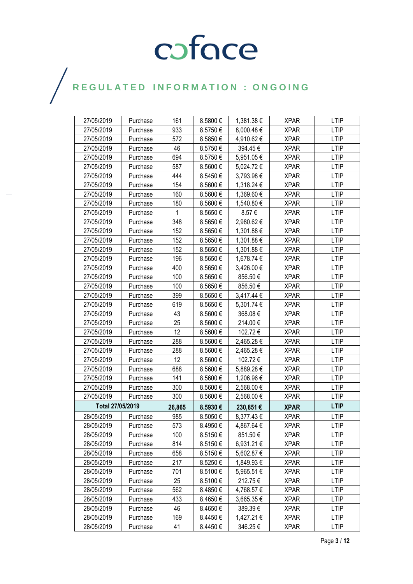| 27/05/2019       | Purchase | 161    | 8.5800€      | 1,381.38 € | <b>XPAR</b> | <b>LTIP</b> |
|------------------|----------|--------|--------------|------------|-------------|-------------|
| 27/05/2019       | Purchase | 933    | 8.5750€      | 8,000.48€  | <b>XPAR</b> | <b>LTIP</b> |
| 27/05/2019       | Purchase | 572    | 8.5850€      | 4,910.62€  | <b>XPAR</b> | <b>LTIP</b> |
| 27/05/2019       | Purchase | 46     | 8.5750€      | 394.45€    | <b>XPAR</b> | <b>LTIP</b> |
| 27/05/2019       | Purchase | 694    | 8.5750€      | 5,951.05€  | <b>XPAR</b> | <b>LTIP</b> |
| 27/05/2019       | Purchase | 587    | 8.5600€      | 5,024.72€  | <b>XPAR</b> | <b>LTIP</b> |
| 27/05/2019       | Purchase | 444    | 8.5450€      | 3,793.98€  | <b>XPAR</b> | <b>LTIP</b> |
| 27/05/2019       | Purchase | 154    | 8.5600€      | 1,318.24 € | <b>XPAR</b> | <b>LTIP</b> |
| 27/05/2019       | Purchase | 160    | 8.5600€      | 1,369.60 € | <b>XPAR</b> | <b>LTIP</b> |
| 27/05/2019       | Purchase | 180    | 8.5600€      | 1,540.80 € | <b>XPAR</b> | <b>LTIP</b> |
| 27/05/2019       | Purchase | 1      | 8.5650€      | 8.57€      | <b>XPAR</b> | <b>LTIP</b> |
| 27/05/2019       | Purchase | 348    | 8.5650€      | 2,980.62€  | <b>XPAR</b> | <b>LTIP</b> |
| 27/05/2019       | Purchase | 152    | 8.5650€      | 1,301.88 € | <b>XPAR</b> | <b>LTIP</b> |
| 27/05/2019       | Purchase | 152    | 8.5650€      | 1,301.88 € | XPAR        | <b>LTIP</b> |
| 27/05/2019       | Purchase | 152    | 8.5650€      | 1,301.88 € | <b>XPAR</b> | <b>LTIP</b> |
| 27/05/2019       | Purchase | 196    | 8.5650€      | 1,678.74 € | <b>XPAR</b> | <b>LTIP</b> |
| 27/05/2019       | Purchase | 400    | 8.5650€      | 3,426.00 € | <b>XPAR</b> | <b>LTIP</b> |
| 27/05/2019       | Purchase | 100    | 8.5650€      | 856.50€    | <b>XPAR</b> | <b>LTIP</b> |
| 27/05/2019       | Purchase | 100    | 8.5650€      | 856.50€    | <b>XPAR</b> | <b>LTIP</b> |
| 27/05/2019       | Purchase | 399    | 8.5650€      | 3,417.44 € | <b>XPAR</b> | <b>LTIP</b> |
| 27/05/2019       | Purchase | 619    | 8.5650€      | 5,301.74 € | <b>XPAR</b> | <b>LTIP</b> |
| 27/05/2019       | Purchase | 43     | 8.5600€      | 368.08€    | <b>XPAR</b> | <b>LTIP</b> |
| 27/05/2019       | Purchase | 25     | 8.5600€      | 214.00€    | <b>XPAR</b> | <b>LTIP</b> |
| 27/05/2019       | Purchase | 12     | 8.5600€      | 102.72€    | <b>XPAR</b> | <b>LTIP</b> |
| 27/05/2019       | Purchase | 288    | 8.5600€      | 2,465.28 € | <b>XPAR</b> | <b>LTIP</b> |
| 27/05/2019       | Purchase | 288    | 8.5600€      | 2,465.28 € | <b>XPAR</b> | <b>LTIP</b> |
| 27/05/2019       | Purchase | 12     | 8.5600€      | 102.72€    | <b>XPAR</b> | <b>LTIP</b> |
| 27/05/2019       | Purchase | 688    | 8.5600€      | 5,889.28€  | <b>XPAR</b> | <b>LTIP</b> |
| 27/05/2019       | Purchase | 141    | 8.5600€      | 1,206.96€  | <b>XPAR</b> | <b>LTIP</b> |
| 27/05/2019       | Purchase | 300    | 8.5600€      | 2,568.00 € | <b>XPAR</b> | <b>LTIP</b> |
| 27/05/2019       | Purchase | 300    | 8.5600€      | 2,568.00 € | <b>XPAR</b> | <b>LTIP</b> |
| Total 27/05/2019 |          | 26,865 | 8.5930€      | 230,851€   | <b>XPAR</b> | <b>LTIP</b> |
| 28/05/2019       | Purchase | 985    | 8.5050€      | 8,377.43€  | <b>XPAR</b> | <b>LTIP</b> |
| 28/05/2019       | Purchase | 573    | 8.4950€      | 4,867.64 € | <b>XPAR</b> | <b>LTIP</b> |
| 28/05/2019       | Purchase | 100    | $8.5150 \in$ | 851.50€    | <b>XPAR</b> | LTIP        |
| 28/05/2019       | Purchase | 814    | 8.5150€      | 6,931.21€  | <b>XPAR</b> | <b>LTIP</b> |
| 28/05/2019       | Purchase | 658    | 8.5150€      | 5,602.87 € | <b>XPAR</b> | <b>LTIP</b> |
| 28/05/2019       | Purchase | 217    | 8.5250€      | 1,849.93 € | <b>XPAR</b> | <b>LTIP</b> |
| 28/05/2019       | Purchase | 701    | 8.5100€      | 5,965.51 € | <b>XPAR</b> | <b>LTIP</b> |
| 28/05/2019       | Purchase | 25     | 8.5100€      | 212.75€    | <b>XPAR</b> | <b>LTIP</b> |
| 28/05/2019       | Purchase | 562    | 8.4850€      | 4,768.57 € | <b>XPAR</b> | <b>LTIP</b> |
| 28/05/2019       | Purchase | 433    | 8.4650€      | 3,665.35 € | <b>XPAR</b> | <b>LTIP</b> |
| 28/05/2019       | Purchase | 46     | 8.4650€      | 389.39€    | <b>XPAR</b> | <b>LTIP</b> |
| 28/05/2019       | Purchase | 169    | 8.4450€      | 1,427.21 € | <b>XPAR</b> | <b>LTIP</b> |
| 28/05/2019       | Purchase | 41     | 8.4450€      | 346.25€    | <b>XPAR</b> | <b>LTIP</b> |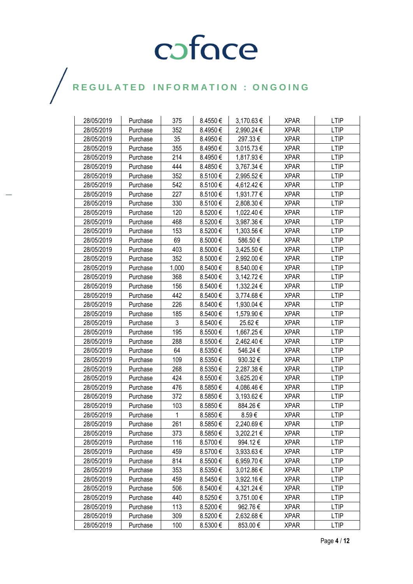| 28/05/2019 | Purchase | 375   | 8.4550€ | 3,170.63 € | <b>XPAR</b> | <b>LTIP</b> |
|------------|----------|-------|---------|------------|-------------|-------------|
| 28/05/2019 | Purchase | 352   | 8.4950€ | 2,990.24 € | <b>XPAR</b> | <b>LTIP</b> |
| 28/05/2019 | Purchase | 35    | 8.4950€ | 297.33€    | <b>XPAR</b> | <b>LTIP</b> |
| 28/05/2019 | Purchase | 355   | 8.4950€ | 3,015.73 € | <b>XPAR</b> | <b>LTIP</b> |
| 28/05/2019 | Purchase | 214   | 8.4950€ | 1,817.93€  | <b>XPAR</b> | <b>LTIP</b> |
| 28/05/2019 | Purchase | 444   | 8.4850€ | 3,767.34 € | <b>XPAR</b> | <b>LTIP</b> |
| 28/05/2019 | Purchase | 352   | 8.5100€ | 2,995.52€  | <b>XPAR</b> | <b>LTIP</b> |
| 28/05/2019 | Purchase | 542   | 8.5100€ | 4,612.42 € | <b>XPAR</b> | <b>LTIP</b> |
| 28/05/2019 | Purchase | 227   | 8.5100€ | 1,931.77 € | <b>XPAR</b> | <b>LTIP</b> |
| 28/05/2019 | Purchase | 330   | 8.5100€ | 2,808.30 € | <b>XPAR</b> | <b>LTIP</b> |
| 28/05/2019 | Purchase | 120   | 8.5200€ | 1,022.40 € | <b>XPAR</b> | <b>LTIP</b> |
| 28/05/2019 | Purchase | 468   | 8.5200€ | 3,987.36 € | <b>XPAR</b> | <b>LTIP</b> |
| 28/05/2019 | Purchase | 153   | 8.5200€ | 1,303.56 € | <b>XPAR</b> | <b>LTIP</b> |
| 28/05/2019 | Purchase | 69    | 8.5000€ | 586.50€    | XPAR        | <b>LTIP</b> |
| 28/05/2019 | Purchase | 403   | 8.5000€ | 3,425.50€  | <b>XPAR</b> | <b>LTIP</b> |
| 28/05/2019 | Purchase | 352   | 8.5000€ | 2,992.00 € | <b>XPAR</b> | <b>LTIP</b> |
| 28/05/2019 | Purchase | 1,000 | 8.5400€ | 8,540.00 € | <b>XPAR</b> | <b>LTIP</b> |
| 28/05/2019 | Purchase | 368   | 8.5400€ | 3,142.72 € | <b>XPAR</b> | <b>LTIP</b> |
| 28/05/2019 | Purchase | 156   | 8.5400€ | 1,332.24 € | <b>XPAR</b> | <b>LTIP</b> |
| 28/05/2019 | Purchase | 442   | 8.5400€ | 3,774.68€  | <b>XPAR</b> | <b>LTIP</b> |
| 28/05/2019 | Purchase | 226   | 8.5400€ | 1,930.04 € | <b>XPAR</b> | <b>LTIP</b> |
| 28/05/2019 | Purchase | 185   | 8.5400€ | 1,579.90 € | <b>XPAR</b> | <b>LTIP</b> |
| 28/05/2019 | Purchase | 3     | 8.5400€ | 25.62€     | <b>XPAR</b> | <b>LTIP</b> |
| 28/05/2019 | Purchase | 195   | 8.5500€ | 1,667.25 € | XPAR        | <b>LTIP</b> |
| 28/05/2019 | Purchase | 288   | 8.5500€ | 2,462.40 € | <b>XPAR</b> | <b>LTIP</b> |
| 28/05/2019 | Purchase | 64    | 8.5350€ | 546.24€    | <b>XPAR</b> | <b>LTIP</b> |
| 28/05/2019 | Purchase | 109   | 8.5350€ | 930.32€    | <b>XPAR</b> | <b>LTIP</b> |
| 28/05/2019 | Purchase | 268   | 8.5350€ | 2,287.38 € | XPAR        | <b>LTIP</b> |
| 28/05/2019 | Purchase | 424   | 8.5500€ | 3,625.20 € | <b>XPAR</b> | <b>LTIP</b> |
| 28/05/2019 | Purchase | 476   | 8.5850€ | 4,086.46 € | <b>XPAR</b> | <b>LTIP</b> |
| 28/05/2019 | Purchase | 372   | 8.5850€ | 3,193.62 € | <b>XPAR</b> | <b>LTIP</b> |
| 28/05/2019 | Purchase | 103   | 8.5850€ | 884.26€    | <b>XPAR</b> | LTIP        |
| 28/05/2019 | Purchase | 1     | 8.5850€ | 8.59€      | <b>XPAR</b> | <b>LTIP</b> |
| 28/05/2019 | Purchase | 261   | 8.5850€ | 2,240.69€  | <b>XPAR</b> | <b>LTIP</b> |
| 28/05/2019 | Purchase | 373   | 8.5850€ | 3,202.21 € | <b>XPAR</b> | <b>LTIP</b> |
| 28/05/2019 | Purchase | 116   | 8.5700€ | 994.12€    | <b>XPAR</b> | <b>LTIP</b> |
| 28/05/2019 | Purchase | 459   | 8.5700€ | 3,933.63 € | <b>XPAR</b> | <b>LTIP</b> |
| 28/05/2019 | Purchase | 814   | 8.5500€ | 6,959.70€  | <b>XPAR</b> | LTIP        |
| 28/05/2019 | Purchase | 353   | 8.5350€ | 3,012.86 € | <b>XPAR</b> | <b>LTIP</b> |
| 28/05/2019 | Purchase | 459   | 8.5450€ | 3,922.16 € | <b>XPAR</b> | <b>LTIP</b> |
| 28/05/2019 | Purchase | 506   | 8.5400€ | 4,321.24 € | <b>XPAR</b> | <b>LTIP</b> |
| 28/05/2019 | Purchase | 440   | 8.5250€ | 3,751.00 € | <b>XPAR</b> | <b>LTIP</b> |
| 28/05/2019 | Purchase | 113   | 8.5200€ | 962.76 €   | <b>XPAR</b> | <b>LTIP</b> |
| 28/05/2019 | Purchase | 309   | 8.5200€ | 2,632.68 € | <b>XPAR</b> | <b>LTIP</b> |
| 28/05/2019 | Purchase | 100   | 8.5300€ | 853.00€    | <b>XPAR</b> | <b>LTIP</b> |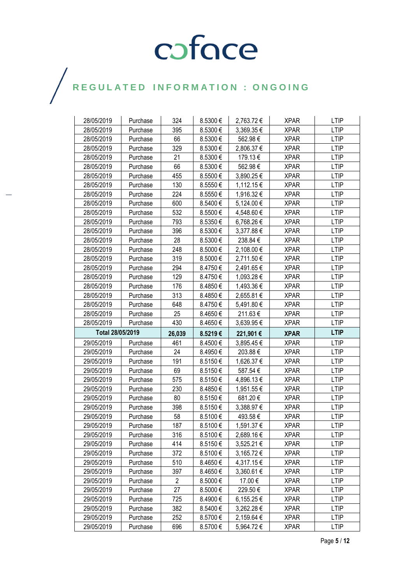| 28/05/2019               | Purchase | 324            | 8.5300€            | 2,763.72€               | <b>XPAR</b> | <b>LTIP</b>                |
|--------------------------|----------|----------------|--------------------|-------------------------|-------------|----------------------------|
| 28/05/2019               | Purchase | 395            | 8.5300€            | 3,369.35€               | <b>XPAR</b> | <b>LTIP</b>                |
| 28/05/2019               | Purchase | 66             | 8.5300€            | 562.98€                 | <b>XPAR</b> | <b>LTIP</b>                |
| 28/05/2019               | Purchase | 329            | 8.5300€            | 2,806.37 €              | <b>XPAR</b> | <b>LTIP</b>                |
| 28/05/2019               | Purchase | 21             | 8.5300€            | 179.13€                 | <b>XPAR</b> | <b>LTIP</b>                |
| 28/05/2019               | Purchase | 66             | 8.5300€            | 562.98€                 | <b>XPAR</b> | <b>LTIP</b>                |
| 28/05/2019               | Purchase | 455            | 8.5500€            | 3,890.25 €              | <b>XPAR</b> | <b>LTIP</b>                |
| 28/05/2019               | Purchase | 130            | 8.5550€            | 1,112.15 €              | <b>XPAR</b> | <b>LTIP</b>                |
| 28/05/2019               | Purchase | 224            | 8.5550€            | 1,916.32 €              | XPAR        | <b>LTIP</b>                |
| 28/05/2019               | Purchase | 600            | 8.5400€            | 5,124.00 €              | <b>XPAR</b> | <b>LTIP</b>                |
| 28/05/2019               | Purchase | 532            | 8.5500€            | 4,548.60 €              | <b>XPAR</b> | <b>LTIP</b>                |
| 28/05/2019               | Purchase | 793            | 8.5350€            | 6,768.26€               | <b>XPAR</b> | <b>LTIP</b>                |
| 28/05/2019               | Purchase | 396            | 8.5300€            | 3,377.88 €              | <b>XPAR</b> | <b>LTIP</b>                |
| 28/05/2019               | Purchase | 28             | 8.5300€            | 238.84€                 | <b>XPAR</b> | <b>LTIP</b>                |
| 28/05/2019               | Purchase | 248            | 8.5000 $\in$       | 2,108.00 €              | <b>XPAR</b> | <b>LTIP</b>                |
| 28/05/2019               | Purchase | 319            | 8.5000€            | 2,711.50€               | <b>XPAR</b> | <b>LTIP</b>                |
| 28/05/2019               | Purchase | 294            | 8.4750€            | 2,491.65€               | <b>XPAR</b> | <b>LTIP</b>                |
| 28/05/2019               | Purchase | 129            | 8.4750€            | 1,093.28 €              | <b>XPAR</b> | <b>LTIP</b>                |
| 28/05/2019               | Purchase | 176            | 8.4850€            | 1,493.36 €              | <b>XPAR</b> | <b>LTIP</b>                |
| 28/05/2019               | Purchase | 313            | 8.4850€            | 2,655.81€               | <b>XPAR</b> | <b>LTIP</b>                |
| 28/05/2019               | Purchase | 648            | 8.4750€            | 5,491.80€               | <b>XPAR</b> | <b>LTIP</b>                |
| 28/05/2019               | Purchase | 25             | 8.4650€            | 211.63€                 | <b>XPAR</b> | <b>LTIP</b>                |
| 28/05/2019               | Purchase | 430            | 8.4650€            | 3,639.95 €              | <b>XPAR</b> | <b>LTIP</b>                |
|                          |          |                |                    |                         |             |                            |
| Total 28/05/2019         |          | 26,039         | 8.5219€            | 221,901€                | <b>XPAR</b> | <b>LTIP</b>                |
| 29/05/2019               | Purchase | 461            | 8.4500€            | 3,895.45€               | <b>XPAR</b> | <b>LTIP</b>                |
| 29/05/2019               | Purchase | 24             | 8.4950€            | 203.88€                 | <b>XPAR</b> | <b>LTIP</b>                |
| 29/05/2019               | Purchase | 191            | 8.5150€            | 1,626.37 €              | <b>XPAR</b> | <b>LTIP</b>                |
| 29/05/2019               | Purchase | 69             | 8.5150€            | 587.54€                 | <b>XPAR</b> | <b>LTIP</b>                |
| 29/05/2019               | Purchase | 575            | 8.5150€            | 4,896.13 €              | <b>XPAR</b> | <b>LTIP</b>                |
| 29/05/2019               | Purchase | 230            | 8.4850€            | 1,951.55 €              | <b>XPAR</b> | <b>LTIP</b>                |
| 29/05/2019               | Purchase | 80             | 8.5150€            | 681.20€                 | <b>XPAR</b> | <b>LTIP</b>                |
| 29/05/2019               | Purchase | 398            | 8.5150€            | 3,388.97€               | <b>XPAR</b> | <b>LTIP</b>                |
| 29/05/2019               | Purchase | 58             | 8.5100€            | 493.58€                 | <b>XPAR</b> | <b>LTIP</b>                |
| 29/05/2019               | Purchase | 187            | 8.5100€            | 1,591.37€               | <b>XPAR</b> | <b>LTIP</b>                |
| 29/05/2019               | Purchase | 316            | 8.5100€            | 2,689.16€               | <b>XPAR</b> | <b>LTIP</b>                |
| 29/05/2019               | Purchase | 414            | 8.5150€            | 3,525.21 €              | <b>XPAR</b> | LTIP                       |
| 29/05/2019               | Purchase | 372            | 8.5100€            | 3,165.72€               | <b>XPAR</b> | <b>LTIP</b>                |
| 29/05/2019               | Purchase | 510            | 8.4650€            | 4,317.15€               | <b>XPAR</b> | <b>LTIP</b>                |
| 29/05/2019               | Purchase | 397            | 8.4650€            | 3,360.61 €              | <b>XPAR</b> | <b>LTIP</b>                |
| 29/05/2019               | Purchase | $\overline{c}$ | 8.5000€            | 17.00€                  | <b>XPAR</b> | <b>LTIP</b>                |
| 29/05/2019               | Purchase | 27             | 8.5000€            | 229.50€                 | XPAR        | <b>LTIP</b>                |
| 29/05/2019               | Purchase | 725            | 8.4900€            | 6,155.25 €              | <b>XPAR</b> | <b>LTIP</b>                |
| 29/05/2019               | Purchase | 382            | 8.5400€            | 3,262.28 €              | <b>XPAR</b> | <b>LTIP</b>                |
| 29/05/2019<br>29/05/2019 | Purchase | 252<br>696     | 8.5700€<br>8.5700€ | 2,159.64 €<br>5,964.72€ | <b>XPAR</b> | <b>LTIP</b><br><b>LTIP</b> |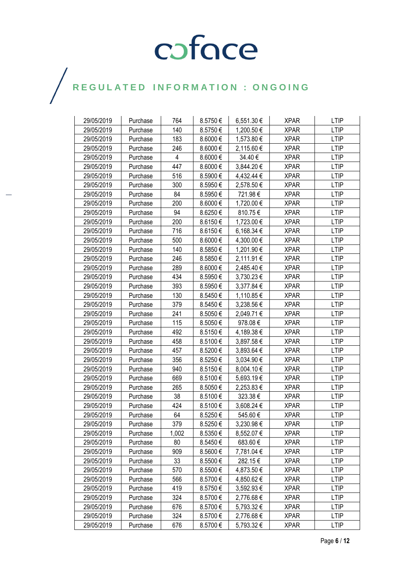| 29/05/2019 | Purchase | 764   | 8.5750€ | 6,551.30 € | <b>XPAR</b> | <b>LTIP</b> |
|------------|----------|-------|---------|------------|-------------|-------------|
| 29/05/2019 | Purchase | 140   | 8.5750€ | 1,200.50 € | <b>XPAR</b> | <b>LTIP</b> |
| 29/05/2019 | Purchase | 183   | 8.6000€ | 1,573.80 € | <b>XPAR</b> | <b>LTIP</b> |
| 29/05/2019 | Purchase | 246   | 8.6000€ | 2,115.60 € | <b>XPAR</b> | <b>LTIP</b> |
| 29/05/2019 | Purchase | 4     | 8.6000€ | 34.40€     | <b>XPAR</b> | <b>LTIP</b> |
| 29/05/2019 | Purchase | 447   | 8.6000€ | 3,844.20 € | <b>XPAR</b> | <b>LTIP</b> |
| 29/05/2019 | Purchase | 516   | 8.5900€ | 4,432.44 € | <b>XPAR</b> | <b>LTIP</b> |
| 29/05/2019 | Purchase | 300   | 8.5950€ | 2,578.50€  | <b>XPAR</b> | <b>LTIP</b> |
| 29/05/2019 | Purchase | 84    | 8.5950€ | 721.98€    | <b>XPAR</b> | <b>LTIP</b> |
| 29/05/2019 | Purchase | 200   | 8.6000€ | 1,720.00 € | <b>XPAR</b> | <b>LTIP</b> |
| 29/05/2019 | Purchase | 94    | 8.6250€ | 810.75€    | <b>XPAR</b> | <b>LTIP</b> |
| 29/05/2019 | Purchase | 200   | 8.6150€ | 1,723.00 € | <b>XPAR</b> | <b>LTIP</b> |
| 29/05/2019 | Purchase | 716   | 8.6150€ | 6,168.34 € | <b>XPAR</b> | <b>LTIP</b> |
| 29/05/2019 | Purchase | 500   | 8.6000€ | 4,300.00 € | XPAR        | <b>LTIP</b> |
| 29/05/2019 | Purchase | 140   | 8.5850€ | 1,201.90€  | <b>XPAR</b> | <b>LTIP</b> |
| 29/05/2019 | Purchase | 246   | 8.5850€ | 2,111.91€  | <b>XPAR</b> | <b>LTIP</b> |
| 29/05/2019 | Purchase | 289   | 8.6000€ | 2,485.40 € | <b>XPAR</b> | <b>LTIP</b> |
| 29/05/2019 | Purchase | 434   | 8.5950€ | 3,730.23 € | <b>XPAR</b> | <b>LTIP</b> |
| 29/05/2019 | Purchase | 393   | 8.5950€ | 3,377.84 € | <b>XPAR</b> | <b>LTIP</b> |
| 29/05/2019 | Purchase | 130   | 8.5450€ | 1,110.85 € | <b>XPAR</b> | <b>LTIP</b> |
| 29/05/2019 | Purchase | 379   | 8.5450€ | 3,238.56 € | <b>XPAR</b> | <b>LTIP</b> |
| 29/05/2019 | Purchase | 241   | 8.5050€ | 2,049.71€  | <b>XPAR</b> | <b>LTIP</b> |
| 29/05/2019 | Purchase | 115   | 8.5050€ | 978.08€    | <b>XPAR</b> | <b>LTIP</b> |
| 29/05/2019 | Purchase | 492   | 8.5150€ | 4,189.38 € | XPAR        | <b>LTIP</b> |
| 29/05/2019 | Purchase | 458   | 8.5100€ | 3,897.58 € | <b>XPAR</b> | <b>LTIP</b> |
| 29/05/2019 | Purchase | 457   | 8.5200€ | 3,893.64 € | <b>XPAR</b> | <b>LTIP</b> |
| 29/05/2019 | Purchase | 356   | 8.5250€ | 3,034.90 € | <b>XPAR</b> | <b>LTIP</b> |
| 29/05/2019 | Purchase | 940   | 8.5150€ | 8,004.10 € | XPAR        | <b>LTIP</b> |
| 29/05/2019 | Purchase | 669   | 8.5100€ | 5,693.19€  | <b>XPAR</b> | <b>LTIP</b> |
| 29/05/2019 | Purchase | 265   | 8.5050€ | 2,253.83€  | <b>XPAR</b> | <b>LTIP</b> |
| 29/05/2019 | Purchase | 38    | 8.5100€ | 323.38€    | <b>XPAR</b> | <b>LTIP</b> |
| 29/05/2019 | Purchase | 424   | 8.5100€ | 3,608.24 € | <b>XPAR</b> | LTIP        |
| 29/05/2019 | Purchase | 64    | 8.5250€ | 545.60€    | <b>XPAR</b> | <b>LTIP</b> |
| 29/05/2019 | Purchase | 379   | 8.5250€ | 3,230.98€  | <b>XPAR</b> | <b>LTIP</b> |
| 29/05/2019 | Purchase | 1,002 | 8.5350€ | 8,552.07 € | <b>XPAR</b> | <b>LTIP</b> |
| 29/05/2019 | Purchase | 80    | 8.5450€ | 683.60 €   | <b>XPAR</b> | <b>LTIP</b> |
| 29/05/2019 | Purchase | 909   | 8.5600€ | 7,781.04 € | <b>XPAR</b> | <b>LTIP</b> |
| 29/05/2019 | Purchase | 33    | 8.5500€ | 282.15€    | <b>XPAR</b> | LTIP        |
| 29/05/2019 | Purchase | 570   | 8.5500€ | 4,873.50 € | <b>XPAR</b> | <b>LTIP</b> |
| 29/05/2019 | Purchase | 566   | 8.5700€ | 4,850.62 € | <b>XPAR</b> | <b>LTIP</b> |
| 29/05/2019 | Purchase | 419   | 8.5750€ | 3,592.93€  | <b>XPAR</b> | <b>LTIP</b> |
| 29/05/2019 | Purchase | 324   | 8.5700€ | 2,776.68€  | <b>XPAR</b> | <b>LTIP</b> |
| 29/05/2019 | Purchase | 676   | 8.5700€ | 5,793.32 € | <b>XPAR</b> | <b>LTIP</b> |
| 29/05/2019 | Purchase | 324   | 8.5700€ | 2,776.68 € | <b>XPAR</b> | <b>LTIP</b> |
| 29/05/2019 | Purchase | 676   | 8.5700€ | 5,793.32 € | <b>XPAR</b> | <b>LTIP</b> |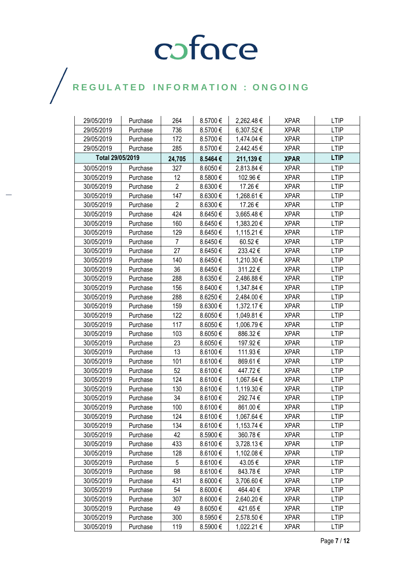| 29/05/2019       | Purchase | 264            | 8.5700€  | 2,262.48€  | <b>XPAR</b> | <b>LTIP</b> |
|------------------|----------|----------------|----------|------------|-------------|-------------|
| 29/05/2019       | Purchase | 736            | 8.5700€  | 6,307.52€  | <b>XPAR</b> | <b>LTIP</b> |
| 29/05/2019       | Purchase | 172            | 8.5700 € | 1,474.04 € | <b>XPAR</b> | <b>LTIP</b> |
| 29/05/2019       | Purchase | 285            | 8.5700€  | 2,442.45 € | <b>XPAR</b> | <b>LTIP</b> |
| Total 29/05/2019 |          | 24,705         | 8.5464€  | 211,139€   | <b>XPAR</b> | <b>LTIP</b> |
| 30/05/2019       | Purchase | 327            | 8.6050€  | 2,813.84 € | <b>XPAR</b> | <b>LTIP</b> |
| 30/05/2019       | Purchase | 12             | 8.5800€  | 102.96€    | <b>XPAR</b> | <b>LTIP</b> |
| 30/05/2019       | Purchase | $\overline{2}$ | 8.6300€  | 17.26€     | <b>XPAR</b> | <b>LTIP</b> |
| 30/05/2019       | Purchase | 147            | 8.6300€  | 1,268.61 € | <b>XPAR</b> | <b>LTIP</b> |
| 30/05/2019       | Purchase | $\overline{2}$ | 8.6300€  | 17.26€     | <b>XPAR</b> | <b>LTIP</b> |
| 30/05/2019       | Purchase | 424            | 8.6450€  | 3,665.48€  | <b>XPAR</b> | <b>LTIP</b> |
| 30/05/2019       | Purchase | 160            | 8.6450€  | 1,383.20 € | <b>XPAR</b> | <b>LTIP</b> |
| 30/05/2019       | Purchase | 129            | 8.6450€  | 1,115.21 € | <b>XPAR</b> | <b>LTIP</b> |
| 30/05/2019       | Purchase | $\overline{7}$ | 8.6450€  | 60.52€     | <b>XPAR</b> | <b>LTIP</b> |
| 30/05/2019       | Purchase | 27             | 8.6450€  | 233.42€    | <b>XPAR</b> | <b>LTIP</b> |
| 30/05/2019       | Purchase | 140            | 8.6450€  | 1,210.30 € | <b>XPAR</b> | <b>LTIP</b> |
| 30/05/2019       | Purchase | 36             | 8.6450€  | 311.22€    | <b>XPAR</b> | <b>LTIP</b> |
| 30/05/2019       | Purchase | 288            | 8.6350€  | 2,486.88€  | <b>XPAR</b> | <b>LTIP</b> |
| 30/05/2019       | Purchase | 156            | 8.6400€  | 1,347.84 € | <b>XPAR</b> | <b>LTIP</b> |
| 30/05/2019       | Purchase | 288            | 8.6250€  | 2,484.00 € | <b>XPAR</b> | <b>LTIP</b> |
| 30/05/2019       | Purchase | 159            | 8.6300€  | 1,372.17 € | <b>XPAR</b> | <b>LTIP</b> |
| 30/05/2019       | Purchase | 122            | 8.6050€  | 1,049.81 € | <b>XPAR</b> | <b>LTIP</b> |
| 30/05/2019       | Purchase | 117            | 8.6050€  | 1,006.79€  | <b>XPAR</b> | <b>LTIP</b> |
| 30/05/2019       | Purchase | 103            | 8.6050€  | 886.32€    | <b>XPAR</b> | <b>LTIP</b> |
| 30/05/2019       | Purchase | 23             | 8.6050€  | 197.92€    | <b>XPAR</b> | <b>LTIP</b> |
| 30/05/2019       | Purchase | 13             | 8.6100€  | 111.93€    | <b>XPAR</b> | <b>LTIP</b> |
| 30/05/2019       | Purchase | 101            | 8.6100€  | 869.61€    | <b>XPAR</b> | <b>LTIP</b> |
| 30/05/2019       | Purchase | 52             | 8.6100€  | 447.72€    | <b>XPAR</b> | <b>LTIP</b> |
| 30/05/2019       | Purchase | 124            | 8.6100€  | 1,067.64 € | <b>XPAR</b> | <b>LTIP</b> |
| 30/05/2019       | Purchase | 130            | 8.6100€  | 1,119.30 € | <b>XPAR</b> | <b>LTIP</b> |
| 30/05/2019       | Purchase | 34             | 8.6100€  | 292.74€    | <b>XPAR</b> | <b>LTIP</b> |
| 30/05/2019       | Purchase | 100            | 8.6100€  | 861.00€    | <b>XPAR</b> | <b>LTIP</b> |
| 30/05/2019       | Purchase | 124            | 8.6100€  | 1,067.64 € | <b>XPAR</b> | <b>LTIP</b> |
| 30/05/2019       | Purchase | 134            | 8.6100€  | 1,153.74 € | <b>XPAR</b> | <b>LTIP</b> |
| 30/05/2019       | Purchase | 42             | 8.5900€  | 360.78€    | <b>XPAR</b> | <b>LTIP</b> |
| 30/05/2019       | Purchase | 433            | 8.6100€  | 3,728.13€  | <b>XPAR</b> | <b>LTIP</b> |
| 30/05/2019       | Purchase | 128            | 8.6100€  | 1,102.08 € | <b>XPAR</b> | <b>LTIP</b> |
| 30/05/2019       | Purchase | 5              | 8.6100€  | 43.05€     | <b>XPAR</b> | <b>LTIP</b> |
| 30/05/2019       | Purchase | 98             | 8.6100€  | 843.78€    | <b>XPAR</b> | <b>LTIP</b> |
| 30/05/2019       | Purchase | 431            | 8.6000€  | 3,706.60 € | <b>XPAR</b> | <b>LTIP</b> |
| 30/05/2019       | Purchase | 54             | 8.6000€  | 464.40€    | <b>XPAR</b> | <b>LTIP</b> |
| 30/05/2019       | Purchase | 307            | 8.6000€  | 2,640.20 € | <b>XPAR</b> | <b>LTIP</b> |
| 30/05/2019       | Purchase | 49             | 8.6050€  | 421.65€    | <b>XPAR</b> | <b>LTIP</b> |
| 30/05/2019       | Purchase | 300            | 8.5950€  | 2,578.50 € | <b>XPAR</b> | <b>LTIP</b> |
| 30/05/2019       | Purchase | 119            | 8.5900€  | 1,022.21 € | <b>XPAR</b> | <b>LTIP</b> |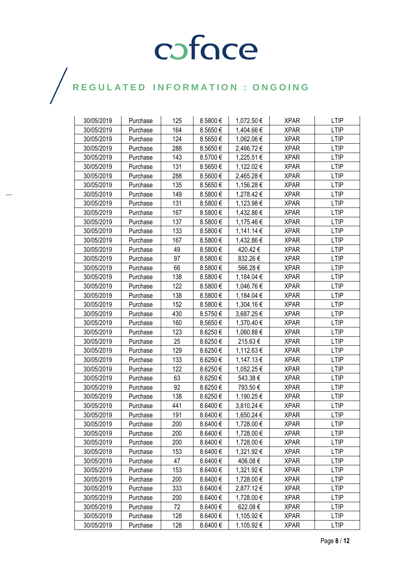| 30/05/2019 | Purchase | 125 | 8.5800€      | 1,072.50€  | <b>XPAR</b> | <b>LTIP</b> |
|------------|----------|-----|--------------|------------|-------------|-------------|
| 30/05/2019 | Purchase | 164 | 8.5650€      | 1,404.66 € | <b>XPAR</b> | LTIP        |
| 30/05/2019 | Purchase | 124 | 8.5650€      | 1,062.06 € | <b>XPAR</b> | <b>LTIP</b> |
| 30/05/2019 | Purchase | 288 | 8.5650€      | 2,466.72€  | <b>XPAR</b> | <b>LTIP</b> |
| 30/05/2019 | Purchase | 143 | 8.5700€      | 1,225.51€  | <b>XPAR</b> | <b>LTIP</b> |
| 30/05/2019 | Purchase | 131 | 8.5650€      | 1,122.02 € | <b>XPAR</b> | <b>LTIP</b> |
| 30/05/2019 | Purchase | 288 | 8.5600€      | 2,465.28 € | <b>XPAR</b> | LTIP        |
| 30/05/2019 | Purchase | 135 | 8.5650€      | 1,156.28 € | <b>XPAR</b> | <b>LTIP</b> |
| 30/05/2019 | Purchase | 149 | 8.5800€      | 1,278.42 € | XPAR        | LTIP        |
| 30/05/2019 | Purchase | 131 | 8.5800€      | 1,123.98€  | <b>XPAR</b> | <b>LTIP</b> |
| 30/05/2019 | Purchase | 167 | 8.5800€      | 1,432.86 € | <b>XPAR</b> | <b>LTIP</b> |
| 30/05/2019 | Purchase | 137 | 8.5800€      | 1,175.46 € | <b>XPAR</b> | <b>LTIP</b> |
| 30/05/2019 | Purchase | 133 | 8.5800€      | 1,141.14 € | <b>XPAR</b> | <b>LTIP</b> |
| 30/05/2019 | Purchase | 167 | 8.5800€      | 1,432.86 € | <b>XPAR</b> | <b>LTIP</b> |
| 30/05/2019 | Purchase | 49  | 8.5800€      | 420.42€    | <b>XPAR</b> | <b>LTIP</b> |
| 30/05/2019 | Purchase | 97  | 8.5800€      | 832.26€    | <b>XPAR</b> | <b>LTIP</b> |
| 30/05/2019 | Purchase | 66  | 8.5800€      | 566.28€    | <b>XPAR</b> | <b>LTIP</b> |
| 30/05/2019 | Purchase | 138 | 8.5800€      | 1,184.04 € | <b>XPAR</b> | <b>LTIP</b> |
| 30/05/2019 | Purchase | 122 | 8.5800€      | 1,046.76€  | <b>XPAR</b> | <b>LTIP</b> |
| 30/05/2019 | Purchase | 138 | 8.5800€      | 1,184.04 € | <b>XPAR</b> | <b>LTIP</b> |
| 30/05/2019 | Purchase | 152 | 8.5800€      | 1,304.16 € | <b>XPAR</b> | <b>LTIP</b> |
| 30/05/2019 | Purchase | 430 | 8.5750€      | 3,687.25€  | <b>XPAR</b> | <b>LTIP</b> |
| 30/05/2019 | Purchase | 160 | 8.5650€      | 1,370.40 € | <b>XPAR</b> | <b>LTIP</b> |
| 30/05/2019 | Purchase | 123 | 8.6250€      | 1,060.88 € | <b>XPAR</b> | <b>LTIP</b> |
| 30/05/2019 | Purchase | 25  | 8.6250€      | 215.63€    | <b>XPAR</b> | <b>LTIP</b> |
| 30/05/2019 | Purchase | 129 | 8.6250€      | 1,112.63 € | <b>XPAR</b> | <b>LTIP</b> |
| 30/05/2019 | Purchase | 133 | 8.6250€      | 1,147.13 € | <b>XPAR</b> | <b>LTIP</b> |
| 30/05/2019 | Purchase | 122 | 8.6250€      | 1,052.25 € | XPAR        | <b>LTIP</b> |
| 30/05/2019 | Purchase | 63  | 8.6250€      | 543.38€    | <b>XPAR</b> | <b>LTIP</b> |
| 30/05/2019 | Purchase | 92  | 8.6250€      | 793.50€    | <b>XPAR</b> | <b>LTIP</b> |
| 30/05/2019 | Purchase | 138 | 8.6250€      | 1,190.25 € | <b>XPAR</b> | <b>LTIP</b> |
| 30/05/2019 | Purchase | 441 | 8.6400€      | 3,810.24 € | <b>XPAR</b> | <b>LTIP</b> |
| 30/05/2019 | Purchase | 191 | 8.6400€      | 1,650.24 € | XPAR        | <b>LTIP</b> |
| 30/05/2019 | Purchase | 200 | 8.6400€      | 1,728.00 € | <b>XPAR</b> | <b>LTIP</b> |
| 30/05/2019 | Purchase | 200 | $8.6400 \in$ | 1,728.00 € | <b>XPAR</b> | <b>LTIP</b> |
| 30/05/2019 | Purchase | 200 | $8.6400 \in$ | 1,728.00 € | <b>XPAR</b> | LTIP        |
| 30/05/2019 | Purchase | 153 | 8.6400€      | 1,321.92 € | <b>XPAR</b> | <b>LTIP</b> |
| 30/05/2019 | Purchase | 47  | 8.6400€      | 406.08€    | <b>XPAR</b> | <b>LTIP</b> |
| 30/05/2019 | Purchase | 153 | 8.6400€      | 1,321.92 € | <b>XPAR</b> | <b>LTIP</b> |
| 30/05/2019 | Purchase | 200 | 8.6400€      | 1,728.00 € | <b>XPAR</b> | <b>LTIP</b> |
| 30/05/2019 | Purchase | 333 | 8.6400€      | 2,877.12 € | <b>XPAR</b> | <b>LTIP</b> |
| 30/05/2019 | Purchase | 200 | 8.6400€      | 1,728.00 € | <b>XPAR</b> | <b>LTIP</b> |
| 30/05/2019 | Purchase | 72  | 8.6400€      | 622.08€    | <b>XPAR</b> | <b>LTIP</b> |
| 30/05/2019 | Purchase | 128 | 8.6400€      | 1,105.92 € | <b>XPAR</b> | <b>LTIP</b> |
| 30/05/2019 | Purchase | 128 | $8.6400 \in$ | 1,105.92 € | XPAR        | LTIP        |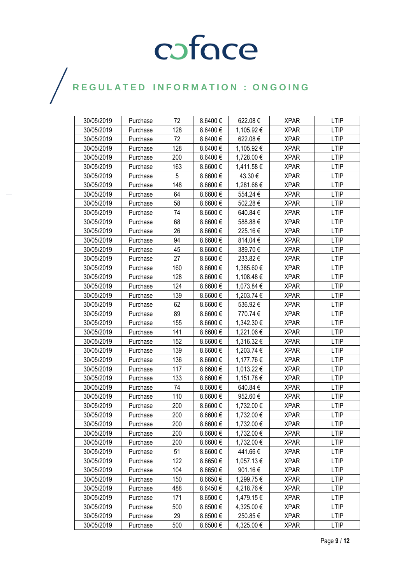| 30/05/2019 | Purchase | 72  | 8.6400€      | 622.08€    | <b>XPAR</b> | <b>LTIP</b> |
|------------|----------|-----|--------------|------------|-------------|-------------|
| 30/05/2019 | Purchase | 128 | 8.6400€      | 1,105.92 € | <b>XPAR</b> | <b>LTIP</b> |
| 30/05/2019 | Purchase | 72  | 8.6400€      | 622.08€    | <b>XPAR</b> | <b>LTIP</b> |
| 30/05/2019 | Purchase | 128 | 8.6400€      | 1,105.92 € | <b>XPAR</b> | <b>LTIP</b> |
| 30/05/2019 | Purchase | 200 | 8.6400€      | 1,728.00 € | <b>XPAR</b> | <b>LTIP</b> |
| 30/05/2019 | Purchase | 163 | 8.6600€      | 1,411.58 € | <b>XPAR</b> | <b>LTIP</b> |
| 30/05/2019 | Purchase | 5   | 8.6600€      | 43.30 €    | <b>XPAR</b> | <b>LTIP</b> |
| 30/05/2019 | Purchase | 148 | $8.6600 \in$ | 1,281.68 € | <b>XPAR</b> | <b>LTIP</b> |
| 30/05/2019 | Purchase | 64  | 8.6600€      | 554.24€    | <b>XPAR</b> | <b>LTIP</b> |
| 30/05/2019 | Purchase | 58  | 8.6600€      | 502.28€    | <b>XPAR</b> | <b>LTIP</b> |
| 30/05/2019 | Purchase | 74  | 8.6600€      | 640.84€    | <b>XPAR</b> | <b>LTIP</b> |
| 30/05/2019 | Purchase | 68  | 8.6600€      | 588.88€    | <b>XPAR</b> | <b>LTIP</b> |
| 30/05/2019 | Purchase | 26  | 8.6600€      | 225.16€    | <b>XPAR</b> | <b>LTIP</b> |
| 30/05/2019 | Purchase | 94  | 8.6600€      | 814.04 €   | XPAR        | <b>LTIP</b> |
| 30/05/2019 | Purchase | 45  | 8.6600€      | 389.70€    | <b>XPAR</b> | <b>LTIP</b> |
| 30/05/2019 | Purchase | 27  | 8.6600€      | 233.82€    | <b>XPAR</b> | <b>LTIP</b> |
| 30/05/2019 | Purchase | 160 | 8.6600€      | 1,385.60 € | <b>XPAR</b> | <b>LTIP</b> |
| 30/05/2019 | Purchase | 128 | 8.6600€      | 1,108.48 € | <b>XPAR</b> | <b>LTIP</b> |
| 30/05/2019 | Purchase | 124 | 8.6600€      | 1,073.84 € | <b>XPAR</b> | <b>LTIP</b> |
| 30/05/2019 | Purchase | 139 | 8.6600€      | 1,203.74 € | <b>XPAR</b> | <b>LTIP</b> |
| 30/05/2019 | Purchase | 62  | 8.6600€      | 536.92€    | <b>XPAR</b> | <b>LTIP</b> |
| 30/05/2019 | Purchase | 89  | 8.6600€      | 770.74€    | <b>XPAR</b> | <b>LTIP</b> |
| 30/05/2019 | Purchase | 155 | 8.6600€      | 1,342.30 € | <b>XPAR</b> | <b>LTIP</b> |
| 30/05/2019 | Purchase | 141 | 8.6600€      | 1,221.06€  | XPAR        | <b>LTIP</b> |
| 30/05/2019 | Purchase | 152 | 8.6600€      | 1,316.32 € | <b>XPAR</b> | <b>LTIP</b> |
| 30/05/2019 | Purchase | 139 | 8.6600€      | 1,203.74 € | <b>XPAR</b> | <b>LTIP</b> |
| 30/05/2019 | Purchase | 136 | 8.6600€      | 1,177.76€  | <b>XPAR</b> | <b>LTIP</b> |
| 30/05/2019 | Purchase | 117 | 8.6600€      | 1,013.22 € | XPAR        | <b>LTIP</b> |
| 30/05/2019 | Purchase | 133 | 8.6600€      | 1,151.78€  | <b>XPAR</b> | <b>LTIP</b> |
| 30/05/2019 | Purchase | 74  | 8.6600€      | 640.84€    | <b>XPAR</b> | <b>LTIP</b> |
| 30/05/2019 | Purchase | 110 | 8.6600€      | 952.60€    | <b>XPAR</b> | <b>LTIP</b> |
| 30/05/2019 | Purchase | 200 | $8.6600 \in$ | 1,732.00 € | <b>XPAR</b> | LTIP        |
| 30/05/2019 | Purchase | 200 | 8.6600€      | 1,732.00 € | <b>XPAR</b> | <b>LTIP</b> |
| 30/05/2019 | Purchase | 200 | 8.6600€      | 1,732.00 € | <b>XPAR</b> | <b>LTIP</b> |
| 30/05/2019 | Purchase | 200 | 8.6600 €     | 1,732.00 € | <b>XPAR</b> | <b>LTIP</b> |
| 30/05/2019 | Purchase | 200 | 8.6600€      | 1,732.00 € | <b>XPAR</b> | <b>LTIP</b> |
| 30/05/2019 | Purchase | 51  | 8.6600€      | 441.66 €   | <b>XPAR</b> | <b>LTIP</b> |
| 30/05/2019 | Purchase | 122 | 8.6650€      | 1,057.13 € | <b>XPAR</b> | LTIP        |
| 30/05/2019 | Purchase | 104 | 8.6650€      | 901.16€    | <b>XPAR</b> | <b>LTIP</b> |
| 30/05/2019 | Purchase | 150 | 8.6650€      | 1,299.75€  | <b>XPAR</b> | <b>LTIP</b> |
| 30/05/2019 | Purchase | 488 | 8.6450€      | 4,218.76 € | <b>XPAR</b> | <b>LTIP</b> |
| 30/05/2019 | Purchase | 171 | 8.6500€      | 1,479.15 € | <b>XPAR</b> | <b>LTIP</b> |
| 30/05/2019 | Purchase | 500 | 8.6500€      | 4,325.00 € | <b>XPAR</b> | <b>LTIP</b> |
| 30/05/2019 | Purchase | 29  | 8.6500€      | 250.85€    | <b>XPAR</b> | <b>LTIP</b> |
| 30/05/2019 | Purchase | 500 | 8.6500€      | 4,325.00 € | <b>XPAR</b> | <b>LTIP</b> |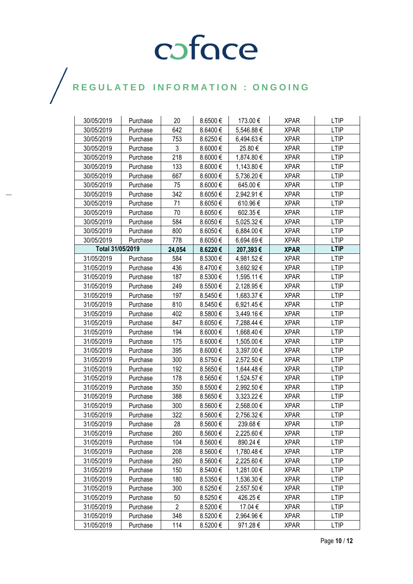| 30/05/2019       | Purchase | 20             | 8.6500€ | 173.00€    | <b>XPAR</b> | <b>LTIP</b> |
|------------------|----------|----------------|---------|------------|-------------|-------------|
| 30/05/2019       | Purchase | 642            | 8.6400€ | 5,546.88 € | <b>XPAR</b> | <b>LTIP</b> |
| 30/05/2019       | Purchase | 753            | 8.6250€ | 6,494.63€  | <b>XPAR</b> | <b>LTIP</b> |
| 30/05/2019       | Purchase | 3              | 8.6000€ | 25.80€     | <b>XPAR</b> | <b>LTIP</b> |
| 30/05/2019       | Purchase | 218            | 8.6000€ | 1,874.80 € | <b>XPAR</b> | <b>LTIP</b> |
| 30/05/2019       | Purchase | 133            | 8.6000€ | 1,143.80 € | <b>XPAR</b> | <b>LTIP</b> |
| 30/05/2019       | Purchase | 667            | 8.6000€ | 5,736.20 € | <b>XPAR</b> | <b>LTIP</b> |
| 30/05/2019       | Purchase | 75             | 8.6000€ | 645.00€    | <b>XPAR</b> | <b>LTIP</b> |
| 30/05/2019       | Purchase | 342            | 8.6050€ | 2,942.91 € | <b>XPAR</b> | <b>LTIP</b> |
| 30/05/2019       | Purchase | 71             | 8.6050€ | 610.96€    | <b>XPAR</b> | <b>LTIP</b> |
| 30/05/2019       | Purchase | 70             | 8.6050€ | 602.35€    | <b>XPAR</b> | <b>LTIP</b> |
| 30/05/2019       | Purchase | 584            | 8.6050€ | 5,025.32 € | <b>XPAR</b> | <b>LTIP</b> |
| 30/05/2019       | Purchase | 800            | 8.6050€ | 6,884.00 € | <b>XPAR</b> | <b>LTIP</b> |
| 30/05/2019       | Purchase | 778            | 8.6050€ | 6,694.69€  | XPAR        | LTIP        |
| Total 31/05/2019 |          | 24,054         | 8.6220€ | 207,393€   | <b>XPAR</b> | <b>LTIP</b> |
| 31/05/2019       | Purchase | 584            | 8.5300€ | 4,981.52€  | <b>XPAR</b> | <b>LTIP</b> |
| 31/05/2019       | Purchase | 436            | 8.4700€ | 3,692.92 € | <b>XPAR</b> | <b>LTIP</b> |
| 31/05/2019       | Purchase | 187            | 8.5300€ | 1,595.11 € | <b>XPAR</b> | <b>LTIP</b> |
| 31/05/2019       | Purchase | 249            | 8.5500€ | 2,128.95€  | <b>XPAR</b> | <b>LTIP</b> |
| 31/05/2019       | Purchase | 197            | 8.5450€ | 1,683.37 € | <b>XPAR</b> | <b>LTIP</b> |
| 31/05/2019       | Purchase | 810            | 8.5450€ | 6,921.45€  | <b>XPAR</b> | <b>LTIP</b> |
| 31/05/2019       | Purchase | 402            | 8.5800€ | 3,449.16€  | <b>XPAR</b> | <b>LTIP</b> |
| 31/05/2019       | Purchase | 847            | 8.6050€ | 7,288.44 € | <b>XPAR</b> | <b>LTIP</b> |
| 31/05/2019       | Purchase | 194            | 8.6000€ | 1,668.40 € | <b>XPAR</b> | <b>LTIP</b> |
| 31/05/2019       | Purchase | 175            | 8.6000€ | 1,505.00 € | <b>XPAR</b> | <b>LTIP</b> |
| 31/05/2019       | Purchase | 395            | 8.6000€ | 3,397.00 € | <b>XPAR</b> | <b>LTIP</b> |
| 31/05/2019       | Purchase | 300            | 8.5750€ | 2,572.50 € | <b>XPAR</b> | <b>LTIP</b> |
| 31/05/2019       | Purchase | 192            | 8.5650€ | 1,644.48 € | <b>XPAR</b> | <b>LTIP</b> |
| 31/05/2019       | Purchase | 178            | 8.5650€ | 1,524.57 € | <b>XPAR</b> | <b>LTIP</b> |
| 31/05/2019       | Purchase | 350            | 8.5500€ | 2,992.50 € | <b>XPAR</b> | <b>LTIP</b> |
| 31/05/2019       | Purchase | 388            | 8.5650€ | 3,323.22 € | <b>XPAR</b> | <b>LTIP</b> |
| 31/05/2019       | Purchase | 300            | 8.5600€ | 2,568.00 € | <b>XPAR</b> | LTIP        |
| 31/05/2019       | Purchase | 322            | 8.5600€ | 2,756.32€  | <b>XPAR</b> | <b>LTIP</b> |
| 31/05/2019       | Purchase | 28             | 8.5600€ | 239.68€    | <b>XPAR</b> | <b>LTIP</b> |
| 31/05/2019       | Purchase | 260            | 8.5600€ | 2,225.60 € | <b>XPAR</b> | <b>LTIP</b> |
| 31/05/2019       | Purchase | 104            | 8.5600€ | 890.24 €   | <b>XPAR</b> | <b>LTIP</b> |
| 31/05/2019       | Purchase | 208            | 8.5600€ | 1,780.48€  | <b>XPAR</b> | <b>LTIP</b> |
| 31/05/2019       | Purchase | 260            | 8.5600€ | 2,225.60 € | <b>XPAR</b> | LTIP        |
| 31/05/2019       | Purchase | 150            | 8.5400€ | 1,281.00 € | <b>XPAR</b> | <b>LTIP</b> |
| 31/05/2019       | Purchase | 180            | 8.5350€ | 1,536.30 € | <b>XPAR</b> | <b>LTIP</b> |
| 31/05/2019       | Purchase | 300            | 8.5250€ | 2,557.50 € | <b>XPAR</b> | <b>LTIP</b> |
| 31/05/2019       | Purchase | 50             | 8.5250€ | 426.25€    | <b>XPAR</b> | <b>LTIP</b> |
| 31/05/2019       | Purchase | $\overline{2}$ | 8.5200€ | 17.04 €    | <b>XPAR</b> | <b>LTIP</b> |
| 31/05/2019       | Purchase | 348            | 8.5200€ | 2,964.96 € | <b>XPAR</b> | <b>LTIP</b> |
| 31/05/2019       | Purchase | 114            | 8.5200€ | 971.28€    | <b>XPAR</b> | <b>LTIP</b> |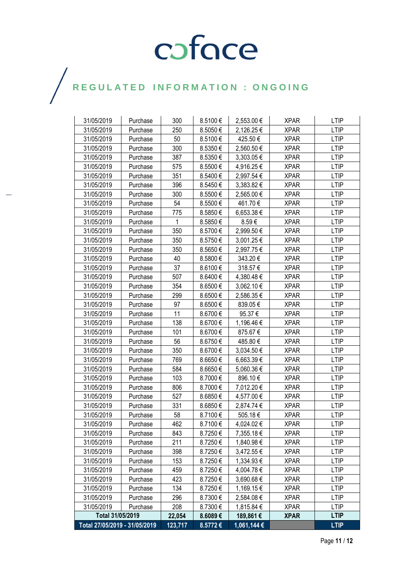| 31/05/2019                    | Purchase | 300     | 8.5100€ | 2,553.00 €  | <b>XPAR</b> | <b>LTIP</b> |
|-------------------------------|----------|---------|---------|-------------|-------------|-------------|
| 31/05/2019                    | Purchase | 250     | 8.5050€ | 2,126.25€   | <b>XPAR</b> | <b>LTIP</b> |
| 31/05/2019                    | Purchase | 50      | 8.5100€ | 425.50€     | <b>XPAR</b> | <b>LTIP</b> |
| 31/05/2019                    | Purchase | 300     | 8.5350€ | 2,560.50€   | <b>XPAR</b> | <b>LTIP</b> |
| 31/05/2019                    | Purchase | 387     | 8.5350€ | 3,303.05 €  | <b>XPAR</b> | <b>LTIP</b> |
| 31/05/2019                    | Purchase | 575     | 8.5500€ | 4,916.25 €  | <b>XPAR</b> | <b>LTIP</b> |
| 31/05/2019                    | Purchase | 351     | 8.5400€ | 2,997.54 €  | <b>XPAR</b> | <b>LTIP</b> |
| 31/05/2019                    | Purchase | 396     | 8.5450€ | 3,383.82 €  | <b>XPAR</b> | <b>LTIP</b> |
| 31/05/2019                    | Purchase | 300     | 8.5500€ | 2,565.00 €  | <b>XPAR</b> | <b>LTIP</b> |
| 31/05/2019                    | Purchase | 54      | 8.5500€ | 461.70€     | <b>XPAR</b> | <b>LTIP</b> |
| 31/05/2019                    | Purchase | 775     | 8.5850€ | 6,653.38 €  | <b>XPAR</b> | <b>LTIP</b> |
| 31/05/2019                    | Purchase | 1       | 8.5850€ | 8.59€       | <b>XPAR</b> | <b>LTIP</b> |
| 31/05/2019                    | Purchase | 350     | 8.5700€ | 2,999.50 €  | <b>XPAR</b> | <b>LTIP</b> |
| 31/05/2019                    | Purchase | 350     | 8.5750€ | 3,001.25 €  | XPAR        | <b>LTIP</b> |
| 31/05/2019                    | Purchase | 350     | 8.5650€ | 2,997.75€   | <b>XPAR</b> | <b>LTIP</b> |
| 31/05/2019                    | Purchase | 40      | 8.5800€ | 343.20€     | <b>XPAR</b> | <b>LTIP</b> |
| 31/05/2019                    | Purchase | 37      | 8.6100€ | 318.57€     | <b>XPAR</b> | <b>LTIP</b> |
| 31/05/2019                    | Purchase | 507     | 8.6400€ | 4,380.48 €  | <b>XPAR</b> | <b>LTIP</b> |
| 31/05/2019                    | Purchase | 354     | 8.6500€ | 3,062.10 €  | <b>XPAR</b> | <b>LTIP</b> |
| 31/05/2019                    | Purchase | 299     | 8.6500€ | 2,586.35€   | <b>XPAR</b> | <b>LTIP</b> |
| 31/05/2019                    | Purchase | 97      | 8.6500€ | 839.05€     | <b>XPAR</b> | <b>LTIP</b> |
| 31/05/2019                    | Purchase | 11      | 8.6700€ | 95.37€      | <b>XPAR</b> | <b>LTIP</b> |
| 31/05/2019                    | Purchase | 138     | 8.6700€ | 1,196.46 €  | <b>XPAR</b> | <b>LTIP</b> |
| 31/05/2019                    | Purchase | 101     | 8.6700€ | 875.67€     | XPAR        | <b>LTIP</b> |
| 31/05/2019                    | Purchase | 56      | 8.6750€ | 485.80€     | <b>XPAR</b> | <b>LTIP</b> |
| 31/05/2019                    | Purchase | 350     | 8.6700€ | 3,034.50 €  | <b>XPAR</b> | <b>LTIP</b> |
| 31/05/2019                    | Purchase | 769     | 8.6650€ | 6,663.39€   | <b>XPAR</b> | <b>LTIP</b> |
| 31/05/2019                    | Purchase | 584     | 8.6650€ | 5,060.36 €  | <b>XPAR</b> | <b>LTIP</b> |
| 31/05/2019                    | Purchase | 103     | 8.7000€ | 896.10€     | <b>XPAR</b> | <b>LTIP</b> |
| 31/05/2019                    | Purchase | 806     | 8.7000€ | 7,012.20 €  | <b>XPAR</b> | <b>LTIP</b> |
| 31/05/2019                    | Purchase | 527     | 8.6850€ | 4,577.00 €  | <b>XPAR</b> | <b>LTIP</b> |
| 31/05/2019                    | Purchase | 331     | 8.6850€ | 2,874.74 €  | <b>XPAR</b> | LTIP        |
| 31/05/2019                    | Purchase | 58      | 8.7100€ | 505.18€     | <b>XPAR</b> | <b>LTIP</b> |
| 31/05/2019                    | Purchase | 462     | 8.7100€ | 4,024.02 €  | <b>XPAR</b> | <b>LTIP</b> |
| 31/05/2019                    | Purchase | 843     | 8.7250€ | 7,355.18€   | <b>XPAR</b> | <b>LTIP</b> |
| 31/05/2019                    | Purchase | 211     | 8.7250€ | 1,840.98 €  | <b>XPAR</b> | <b>LTIP</b> |
| 31/05/2019                    | Purchase | 398     | 8.7250€ | 3,472.55 €  | <b>XPAR</b> | <b>LTIP</b> |
| 31/05/2019                    | Purchase | 153     | 8.7250€ | 1,334.93 €  | <b>XPAR</b> | <b>LTIP</b> |
| 31/05/2019                    | Purchase | 459     | 8.7250€ | 4,004.78€   | <b>XPAR</b> | <b>LTIP</b> |
| 31/05/2019                    | Purchase | 423     | 8.7250€ | 3,690.68€   | XPAR        | <b>LTIP</b> |
| 31/05/2019                    | Purchase | 134     | 8.7250€ | 1,169.15 €  | <b>XPAR</b> | <b>LTIP</b> |
| 31/05/2019                    | Purchase | 296     | 8.7300€ | 2,584.08 €  | <b>XPAR</b> | <b>LTIP</b> |
| 31/05/2019                    | Purchase | 208     | 8.7300€ | 1,815.84 €  | <b>XPAR</b> | <b>LTIP</b> |
| Total 31/05/2019              |          | 22,054  | 8.6089€ | 189,861 €   | <b>XPAR</b> | <b>LTIP</b> |
| Total 27/05/2019 - 31/05/2019 |          | 123,717 | 8.5772€ | 1,061,144 € |             | <b>LTIP</b> |